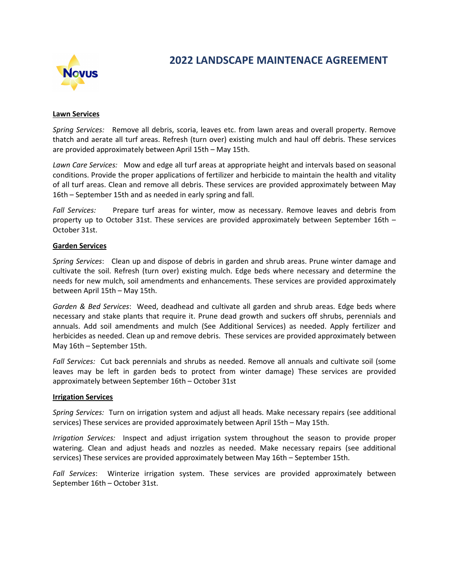

# 2022 LANDSCAPE MAINTENACE AGREEMENT

### Lawn Services

Spring Services: Remove all debris, scoria, leaves etc. from lawn areas and overall property. Remove thatch and aerate all turf areas. Refresh (turn over) existing mulch and haul off debris. These services are provided approximately between April 15th – May 15th.

Lawn Care Services: Mow and edge all turf areas at appropriate height and intervals based on seasonal conditions. Provide the proper applications of fertilizer and herbicide to maintain the health and vitality of all turf areas. Clean and remove all debris. These services are provided approximately between May 16th – September 15th and as needed in early spring and fall.

Fall Services: Prepare turf areas for winter, mow as necessary. Remove leaves and debris from property up to October 31st. These services are provided approximately between September 16th – October 31st.

### Garden Services

Spring Services: Clean up and dispose of debris in garden and shrub areas. Prune winter damage and cultivate the soil. Refresh (turn over) existing mulch. Edge beds where necessary and determine the needs for new mulch, soil amendments and enhancements. These services are provided approximately between April 15th – May 15th.

Garden & Bed Services: Weed, deadhead and cultivate all garden and shrub areas. Edge beds where necessary and stake plants that require it. Prune dead growth and suckers off shrubs, perennials and annuals. Add soil amendments and mulch (See Additional Services) as needed. Apply fertilizer and herbicides as needed. Clean up and remove debris. These services are provided approximately between May 16th – September 15th.

Fall Services: Cut back perennials and shrubs as needed. Remove all annuals and cultivate soil (some leaves may be left in garden beds to protect from winter damage) These services are provided approximately between September 16th – October 31st

#### Irrigation Services

Spring Services: Turn on irrigation system and adjust all heads. Make necessary repairs (see additional services) These services are provided approximately between April 15th – May 15th.

Irrigation Services: Inspect and adjust irrigation system throughout the season to provide proper watering. Clean and adjust heads and nozzles as needed. Make necessary repairs (see additional services) These services are provided approximately between May 16th – September 15th.

Fall Services: Winterize irrigation system. These services are provided approximately between September 16th – October 31st.